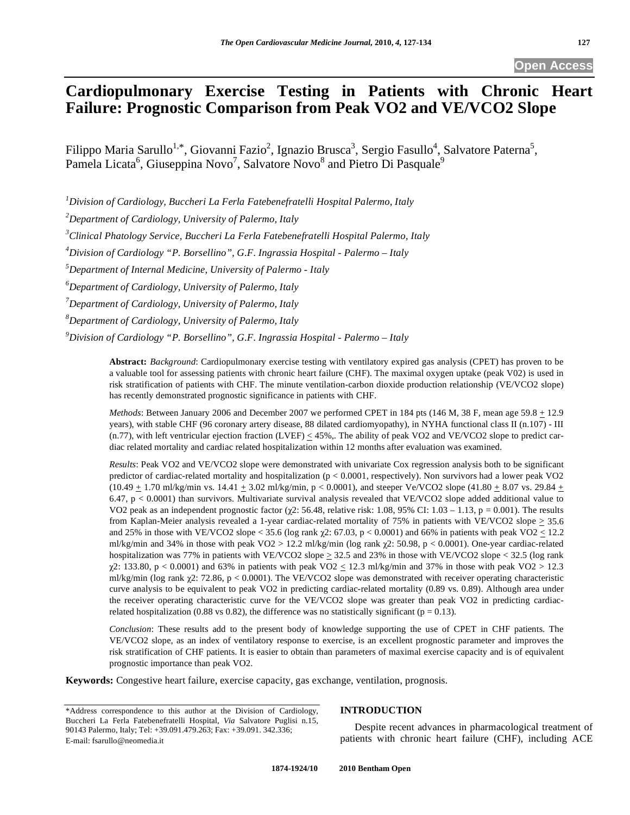**Open Access** 

# **Cardiopulmonary Exercise Testing in Patients with Chronic Heart Failure: Prognostic Comparison from Peak VO2 and VE/VCO2 Slope**

Filippo Maria Sarullo<sup>1,\*</sup>, Giovanni Fazio<sup>2</sup>, Ignazio Brusca<sup>3</sup>, Sergio Fasullo<sup>4</sup>, Salvatore Paterna<sup>5</sup>, Pamela Licata<sup>6</sup>, Giuseppina Novo<sup>7</sup>, Salvatore Novo<sup>8</sup> and Pietro Di Pasquale<sup>9</sup>

*1 Division of Cardiology, Buccheri La Ferla Fatebenefratelli Hospital Palermo, Italy* 

*2 Department of Cardiology, University of Palermo, Italy* 

*3 Clinical Phatology Service, Buccheri La Ferla Fatebenefratelli Hospital Palermo, Italy* 

*4 Division of Cardiology "P. Borsellino", G.F. Ingrassia Hospital - Palermo – Italy* 

*5 Department of Internal Medicine, University of Palermo - Italy* 

*6 Department of Cardiology, University of Palermo, Italy* 

*7 Department of Cardiology, University of Palermo, Italy* 

*8 Department of Cardiology, University of Palermo, Italy* 

*9 Division of Cardiology "P. Borsellino", G.F. Ingrassia Hospital - Palermo – Italy* 

**Abstract:** *Background*: Cardiopulmonary exercise testing with ventilatory expired gas analysis (CPET) has proven to be a valuable tool for assessing patients with chronic heart failure (CHF). The maximal oxygen uptake (peak V02) is used in risk stratification of patients with CHF. The minute ventilation-carbon dioxide production relationship (VE/VCO2 slope) has recently demonstrated prognostic significance in patients with CHF.

*Methods*: Between January 2006 and December 2007 we performed CPET in 184 pts (146 M, 38 F, mean age 59.8  $\pm$  12.9 years), with stable CHF (96 coronary artery disease, 88 dilated cardiomyopathy), in NYHA functional class II (n.107) - III (n.77), with left ventricular ejection fraction (LVEF)  $\leq$  45%,. The ability of peak VO2 and VE/VCO2 slope to predict cardiac related mortality and cardiac related hospitalization within 12 months after evaluation was examined.

*Results*: Peak VO2 and VE/VCO2 slope were demonstrated with univariate Cox regression analysis both to be significant predictor of cardiac-related mortality and hospitalization (p < 0.0001, respectively). Non survivors had a lower peak VO2 (10.49  $\pm$  1.70 ml/kg/min vs. 14.41  $\pm$  3.02 ml/kg/min, p < 0.0001), and steeper Ve/VCO2 slope (41.80  $\pm$  8.07 vs. 29.84  $\pm$ 6.47, p < 0.0001) than survivors. Multivariate survival analysis revealed that VE/VCO2 slope added additional value to VO2 peak as an independent prognostic factor  $(\chi^2$ : 56.48, relative risk: 1.08, 95% CI: 1.03 – 1.13, p = 0.001). The results from Kaplan-Meier analysis revealed a 1-year cardiac-related mortality of 75% in patients with VE/VCO2 slope  $\geq$  35.6 and 25% in those with VE/VCO2 slope < 35.6 (log rank  $\gamma$ 2: 67.03, p < 0.0001) and 66% in patients with peak VO2 < 12.2 ml/kg/min and 34% in those with peak VO2 > 12.2 ml/kg/min (log rank  $\chi$ 2: 50.98, p < 0.0001). One-year cardiac-related hospitalization was 77% in patients with VE/VCO2 slope  $\geq$  32.5 and 23% in those with VE/VCO2 slope < 32.5 (log rank  $\chi$ 2: 133.80, p < 0.0001) and 63% in patients with peak VO2  $\leq$  12.3 ml/kg/min and 37% in those with peak VO2 > 12.3 ml/kg/min (log rank  $\chi$ 2: 72.86, p < 0.0001). The VE/VCO2 slope was demonstrated with receiver operating characteristic curve analysis to be equivalent to peak VO2 in predicting cardiac-related mortality (0.89 vs. 0.89). Although area under the receiver operating characteristic curve for the VE/VCO2 slope was greater than peak VO2 in predicting cardiacrelated hospitalization (0.88 vs 0.82), the difference was no statistically significant ( $p = 0.13$ ).

*Conclusion*: These results add to the present body of knowledge supporting the use of CPET in CHF patients. The VE/VCO2 slope, as an index of ventilatory response to exercise, is an excellent prognostic parameter and improves the risk stratification of CHF patients. It is easier to obtain than parameters of maximal exercise capacity and is of equivalent prognostic importance than peak VO2.

**Keywords:** Congestive heart failure, exercise capacity, gas exchange, ventilation, prognosis.

#### E-mail: fsarullo@neomedia.it

# **INTRODUCTION**

 Despite recent advances in pharmacological treatment of patients with chronic heart failure (CHF), including ACE

<sup>\*</sup>Address correspondence to this author at the Division of Cardiology, Buccheri La Ferla Fatebenefratelli Hospital, *Via* Salvatore Puglisi n.15, 90143 Palermo, Italy; Tel: +39.091.479.263; Fax: +39.091. 342.336;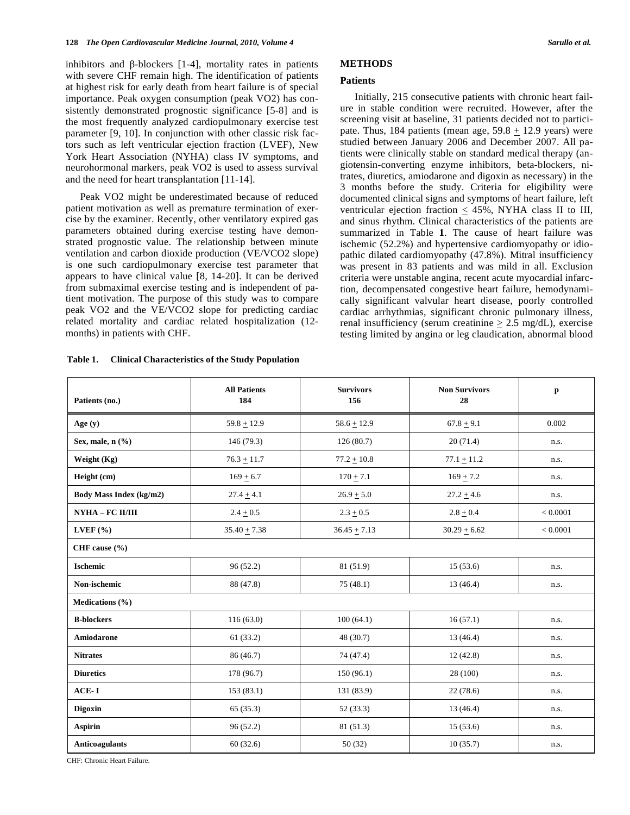inhibitors and  $\beta$ -blockers [1-4], mortality rates in patients with severe CHF remain high. The identification of patients at highest risk for early death from heart failure is of special importance. Peak oxygen consumption (peak VO2) has consistently demonstrated prognostic significance [5-8] and is the most frequently analyzed cardiopulmonary exercise test parameter [9, 10]. In conjunction with other classic risk factors such as left ventricular ejection fraction (LVEF), New York Heart Association (NYHA) class IV symptoms, and neurohormonal markers, peak VO2 is used to assess survival and the need for heart transplantation [11-14].

 Peak VO2 might be underestimated because of reduced patient motivation as well as premature termination of exercise by the examiner. Recently, other ventilatory expired gas parameters obtained during exercise testing have demonstrated prognostic value. The relationship between minute ventilation and carbon dioxide production (VE/VCO2 slope) is one such cardiopulmonary exercise test parameter that appears to have clinical value [8, 14-20]. It can be derived from submaximal exercise testing and is independent of patient motivation. The purpose of this study was to compare peak VO2 and the VE/VCO2 slope for predicting cardiac related mortality and cardiac related hospitalization (12 months) in patients with CHF.

# **METHODS**

# **Patients**

 Initially, 215 consecutive patients with chronic heart failure in stable condition were recruited. However, after the screening visit at baseline, 31 patients decided not to participate. Thus, 184 patients (mean age,  $59.8 + 12.9$  years) were studied between January 2006 and December 2007. All patients were clinically stable on standard medical therapy (angiotensin-converting enzyme inhibitors, beta-blockers, nitrates, diuretics, amiodarone and digoxin as necessary) in the 3 months before the study. Criteria for eligibility were documented clinical signs and symptoms of heart failure, left ventricular ejection fraction  $\leq 45\%$ , NYHA class II to III, and sinus rhythm. Clinical characteristics of the patients are summarized in Table **1**. The cause of heart failure was ischemic (52.2%) and hypertensive cardiomyopathy or idiopathic dilated cardiomyopathy (47.8%). Mitral insufficiency was present in 83 patients and was mild in all. Exclusion criteria were unstable angina, recent acute myocardial infarction, decompensated congestive heart failure, hemodynamically significant valvular heart disease, poorly controlled cardiac arrhythmias, significant chronic pulmonary illness, renal insufficiency (serum creatinine  $\geq 2.5$  mg/dL), exercise testing limited by angina or leg claudication, abnormal blood

| Patients (no.)          | <b>All Patients</b><br>184 | <b>Survivors</b><br>156 | <b>Non Survivors</b><br>28 | p        |  |  |  |
|-------------------------|----------------------------|-------------------------|----------------------------|----------|--|--|--|
| Age $(y)$               | $59.8 + 12.9$              | $58.6 \pm 12.9$         | $67.8 + 9.1$               | 0.002    |  |  |  |
| Sex, male, n (%)        | 146 (79.3)                 | 126(80.7)               | 20(71.4)                   | n.s.     |  |  |  |
| Weight (Kg)             | $76.3 \pm 11.7$            | $77.2 \pm 10.8$         | $77.1 \pm 11.2$            | n.s.     |  |  |  |
| Height (cm)             | $169 + 6.7$                | $170 + 7.1$             | $169 + 7.2$                | n.s.     |  |  |  |
| Body Mass Index (kg/m2) | $27.4 + 4.1$               | $26.9 + 5.0$            | $27.2 + 4.6$               | n.s.     |  |  |  |
| NYHA - FC II/III        | $2.4 \pm 0.5$              | $2.3 + 0.5$             | $2.8 + 0.4$                | < 0.0001 |  |  |  |
| LVEF $(% )$             | $35.40 + 7.38$             | $36.45 + 7.13$          | $30.29 + 6.62$             | < 0.0001 |  |  |  |
| CHF cause $(\% )$       |                            |                         |                            |          |  |  |  |
| <b>Ischemic</b>         | 96(52.2)                   | 81 (51.9)               | 15(53.6)                   | n.s.     |  |  |  |
| Non-ischemic            | 88 (47.8)                  | 75(48.1)                | 13 (46.4)                  | n.s.     |  |  |  |
| Medications $(\% )$     |                            |                         |                            |          |  |  |  |
| <b>B-blockers</b>       | 116(63.0)                  | 100(64.1)               | 16(57.1)                   | n.s.     |  |  |  |
| Amiodarone              | 61(33.2)                   | 48 (30.7)               | 13(46.4)                   | n.s.     |  |  |  |
| <b>Nitrates</b>         | 86 (46.7)                  | 74 (47.4)               | 12(42.8)                   | n.s.     |  |  |  |
| <b>Diuretics</b>        | 178 (96.7)                 | 150(96.1)               | 28 (100)                   | n.s.     |  |  |  |
| ACE-I                   | 153(83.1)                  | 131 (83.9)              | 22(78.6)                   | n.s.     |  |  |  |
| <b>Digoxin</b>          | 65(35.3)                   | 52(33.3)                | 13(46.4)                   | n.s.     |  |  |  |
| <b>Aspirin</b>          | 96(52.2)                   | 81 (51.3)               | 15(53.6)                   | n.s.     |  |  |  |
| <b>Anticoagulants</b>   | 60(32.6)                   | 50 (32)                 | 10(35.7)                   | n.s.     |  |  |  |

**Table 1. Clinical Characteristics of the Study Population** 

CHF: Chronic Heart Failure.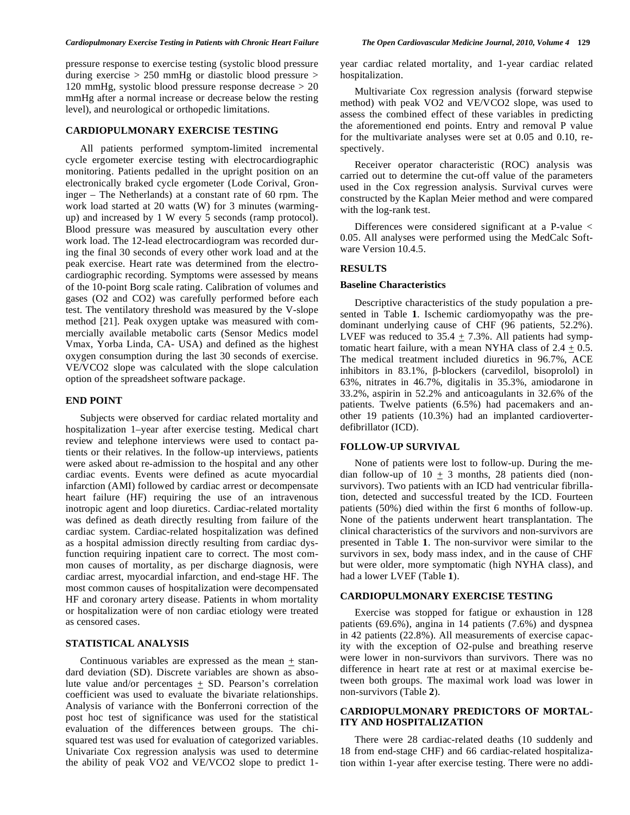#### *Cardiopulmonary Exercise Testing in Patients with Chronic Heart Failure The Open Cardiovascular Medicine Journal, 2010, Volume 4* **129**

pressure response to exercise testing (systolic blood pressure during exercise  $> 250$  mmHg or diastolic blood pressure  $>$ 120 mmHg, systolic blood pressure response decrease > 20 mmHg after a normal increase or decrease below the resting level), and neurological or orthopedic limitations.

# **CARDIOPULMONARY EXERCISE TESTING**

 All patients performed symptom-limited incremental cycle ergometer exercise testing with electrocardiographic monitoring. Patients pedalled in the upright position on an electronically braked cycle ergometer (Lode Corival, Groninger – The Netherlands) at a constant rate of 60 rpm. The work load started at 20 watts (W) for 3 minutes (warmingup) and increased by 1 W every 5 seconds (ramp protocol). Blood pressure was measured by auscultation every other work load. The 12-lead electrocardiogram was recorded during the final 30 seconds of every other work load and at the peak exercise. Heart rate was determined from the electrocardiographic recording. Symptoms were assessed by means of the 10-point Borg scale rating. Calibration of volumes and gases (O2 and CO2) was carefully performed before each test. The ventilatory threshold was measured by the V-slope method [21]. Peak oxygen uptake was measured with commercially available metabolic carts (Sensor Medics model Vmax, Yorba Linda, CA- USA) and defined as the highest oxygen consumption during the last 30 seconds of exercise. VE/VCO2 slope was calculated with the slope calculation option of the spreadsheet software package.

## **END POINT**

 Subjects were observed for cardiac related mortality and hospitalization 1–year after exercise testing. Medical chart review and telephone interviews were used to contact patients or their relatives. In the follow-up interviews, patients were asked about re-admission to the hospital and any other cardiac events. Events were defined as acute myocardial infarction (AMI) followed by cardiac arrest or decompensate heart failure (HF) requiring the use of an intravenous inotropic agent and loop diuretics. Cardiac-related mortality was defined as death directly resulting from failure of the cardiac system. Cardiac-related hospitalization was defined as a hospital admission directly resulting from cardiac dysfunction requiring inpatient care to correct. The most common causes of mortality, as per discharge diagnosis, were cardiac arrest, myocardial infarction, and end-stage HF. The most common causes of hospitalization were decompensated HF and coronary artery disease. Patients in whom mortality or hospitalization were of non cardiac etiology were treated as censored cases.

## **STATISTICAL ANALYSIS**

Continuous variables are expressed as the mean  $+$  standard deviation (SD). Discrete variables are shown as absolute value and/or percentages  $\pm$  SD. Pearson's correlation coefficient was used to evaluate the bivariate relationships. Analysis of variance with the Bonferroni correction of the post hoc test of significance was used for the statistical evaluation of the differences between groups. The chisquared test was used for evaluation of categorized variables. Univariate Cox regression analysis was used to determine the ability of peak VO2 and VE/VCO2 slope to predict 1year cardiac related mortality, and 1-year cardiac related hospitalization.

 Multivariate Cox regression analysis (forward stepwise method) with peak VO2 and VE/VCO2 slope, was used to assess the combined effect of these variables in predicting the aforementioned end points. Entry and removal P value for the multivariate analyses were set at 0.05 and 0.10, respectively.

 Receiver operator characteristic (ROC) analysis was carried out to determine the cut-off value of the parameters used in the Cox regression analysis. Survival curves were constructed by the Kaplan Meier method and were compared with the log-rank test.

 Differences were considered significant at a P-value < 0.05. All analyses were performed using the MedCalc Software Version 10.4.5.

### **RESULTS**

#### **Baseline Characteristics**

 Descriptive characteristics of the study population a presented in Table **1**. Ischemic cardiomyopathy was the predominant underlying cause of CHF (96 patients, 52.2%). LVEF was reduced to 35.4  $\pm$  7.3%. All patients had symptomatic heart failure, with a mean NYHA class of  $2.4 + 0.5$ . The medical treatment included diuretics in 96.7%, ACE inhibitors in  $83.1\%$ ,  $\beta$ -blockers (carvedilol, bisoprolol) in 63%, nitrates in 46.7%, digitalis in 35.3%, amiodarone in 33.2%, aspirin in 52.2% and anticoagulants in 32.6% of the patients. Twelve patients (6.5%) had pacemakers and another 19 patients (10.3%) had an implanted cardioverterdefibrillator (ICD).

## **FOLLOW-UP SURVIVAL**

 None of patients were lost to follow-up. During the median follow-up of  $10 + 3$  months, 28 patients died (nonsurvivors). Two patients with an ICD had ventricular fibrillation, detected and successful treated by the ICD. Fourteen patients (50%) died within the first 6 months of follow-up. None of the patients underwent heart transplantation. The clinical characteristics of the survivors and non-survivors are presented in Table **1**. The non-survivor were similar to the survivors in sex, body mass index, and in the cause of CHF but were older, more symptomatic (high NYHA class), and had a lower LVEF (Table **1**).

# **CARDIOPULMONARY EXERCISE TESTING**

 Exercise was stopped for fatigue or exhaustion in 128 patients (69.6%), angina in 14 patients (7.6%) and dyspnea in 42 patients (22.8%). All measurements of exercise capacity with the exception of O2-pulse and breathing reserve were lower in non-survivors than survivors. There was no difference in heart rate at rest or at maximal exercise between both groups. The maximal work load was lower in non-survivors (Table **2**).

### **CARDIOPULMONARY PREDICTORS OF MORTAL-ITY AND HOSPITALIZATION**

 There were 28 cardiac-related deaths (10 suddenly and 18 from end-stage CHF) and 66 cardiac-related hospitalization within 1-year after exercise testing. There were no addi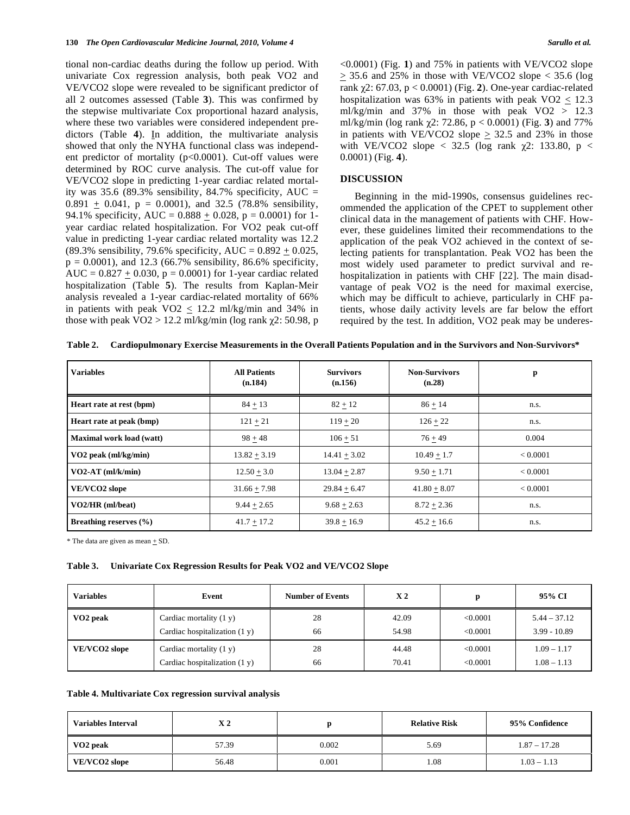tional non-cardiac deaths during the follow up period. With univariate Cox regression analysis, both peak VO2 and VE/VCO2 slope were revealed to be significant predictor of all 2 outcomes assessed (Table **3**). This was confirmed by the stepwise multivariate Cox proportional hazard analysis, where these two variables were considered independent predictors (Table **4**). In addition, the multivariate analysis showed that only the NYHA functional class was independent predictor of mortality (p<0.0001). Cut-off values were determined by ROC curve analysis. The cut-off value for VE/VCO2 slope in predicting 1-year cardiac related mortality was 35.6 (89.3% sensibility, 84.7% specificity, AUC = 0.891  $\pm$  0.041, p = 0.0001), and 32.5 (78.8% sensibility, 94.1% specificity, AUC =  $0.888 \pm 0.028$ , p = 0.0001) for 1year cardiac related hospitalization. For VO2 peak cut-off value in predicting 1-year cardiac related mortality was 12.2 (89.3% sensibility, 79.6% specificity, AUC =  $0.892 \pm 0.025$ ,  $p = 0.0001$ , and 12.3 (66.7% sensibility, 86.6% specificity, AUC =  $0.827 + 0.030$ , p = 0.0001) for 1-year cardiac related hospitalization (Table **5**). The results from Kaplan-Meir analysis revealed a 1-year cardiac-related mortality of 66% in patients with peak VO2  $\leq$  12.2 ml/kg/min and 34% in those with peak  $\text{VO2} > 12.2 \text{ ml/kg/min}$  (log rank  $\gamma$ 2: 50.98, p <0.0001) (Fig. **1**) and 75% in patients with VE/VCO2 slope  $\geq$  35.6 and 25% in those with VE/VCO2 slope < 35.6 (log rank 2: 67.03, p < 0.0001) (Fig. **2**). One-year cardiac-related hospitalization was 63% in patients with peak VO2  $\leq$  12.3 ml/kg/min and 37% in those with peak  $VO2 > 12.3$ ml/kg/min (log rank  $\chi$ 2: 72.86, p < 0.0001) (Fig. 3) and 77% in patients with VE/VCO2 slope  $\geq$  32.5 and 23% in those with VE/VCO2 slope  $\langle$  32.5 (log rank  $\gamma$ 2: 133.80, p  $\langle$ 0.0001) (Fig. **4**).

#### **DISCUSSION**

 Beginning in the mid-1990s, consensus guidelines recommended the application of the CPET to supplement other clinical data in the management of patients with CHF. However, these guidelines limited their recommendations to the application of the peak VO2 achieved in the context of selecting patients for transplantation. Peak VO2 has been the most widely used parameter to predict survival and rehospitalization in patients with CHF [22]. The main disadvantage of peak VO2 is the need for maximal exercise, which may be difficult to achieve, particularly in CHF patients, whose daily activity levels are far below the effort required by the test. In addition, VO2 peak may be underes-

**Table 2. Cardiopulmonary Exercise Measurements in the Overall Patients Population and in the Survivors and Non-Survivors\*** 

| <b>Variables</b>                | <b>All Patients</b><br>(n.184) | <b>Survivors</b><br>(n.156) | <b>Non-Survivors</b><br>(n.28) | p        |
|---------------------------------|--------------------------------|-----------------------------|--------------------------------|----------|
| Heart rate at rest (bpm)        | $84 + 13$                      | $82 + 12$                   | $86 + 14$                      | n.s.     |
| Heart rate at peak (bmp)        | $121 + 21$                     | $119 + 20$                  | $126 + 22$                     | n.s.     |
| <b>Maximal work load (watt)</b> | $98 + 48$                      | $106 + 51$                  | $76 + 49$                      | 0.004    |
| $VO2$ peak (ml/kg/min)          | $13.82 + 3.19$                 | $14.41 + 3.02$              | $10.49 + 1.7$                  | < 0.0001 |
| $VO2-AT$ (ml/k/min)             | $12.50 + 3.0$                  | $13.04 + 2.87$              | $9.50 + 1.71$                  | < 0.0001 |
| VE/VCO2 slope                   | $31.66 + 7.98$                 | $29.84 + 6.47$              | $41.80 + 8.07$                 | < 0.0001 |
| VO2/HR (ml/beat)                | $9.44 + 2.65$                  | $9.68 + 2.63$               | $8.72 + 2.36$                  | n.s.     |
| Breathing reserves $(\% )$      | $41.7 + 17.2$                  | $39.8 + 16.9$               | $45.2 + 16.6$                  | n.s.     |

\* The data are given as mean + SD.

#### **Table 3. Univariate Cox Regression Results for Peak VO2 and VE/VCO2 Slope**

| <b>Variables</b>     | Event                           | <b>Number of Events</b> | X <sub>2</sub> | n        | 95% CI         |
|----------------------|---------------------------------|-------------------------|----------------|----------|----------------|
| VO <sub>2</sub> peak | Cardiac mortality $(1 y)$       | 28                      | 42.09          | < 0.0001 | $5.44 - 37.12$ |
|                      | Cardiac hospitalization $(1 y)$ | 66                      | 54.98          | < 0.0001 | $3.99 - 10.89$ |
| VE/VCO2 slope        | Cardiac mortality $(1 y)$       | 28                      | 44.48          | < 0.0001 | $1.09 - 1.17$  |
|                      | Cardiac hospitalization $(1 y)$ | 66                      | 70.41          | < 0.0001 | $1.08 - 1.13$  |

#### **Table 4. Multivariate Cox regression survival analysis**

| <b>Variables Interval</b> | X 2   |       | <b>Relative Risk</b> | 95% Confidence |  |
|---------------------------|-------|-------|----------------------|----------------|--|
| VO <sub>2</sub> peak      | 57.39 | 0.002 | 5.69                 | $1.87 - 17.28$ |  |
| VE/VCO2 slope             | 56.48 | 0.001 | 1.08                 | $1.03 - 1.13$  |  |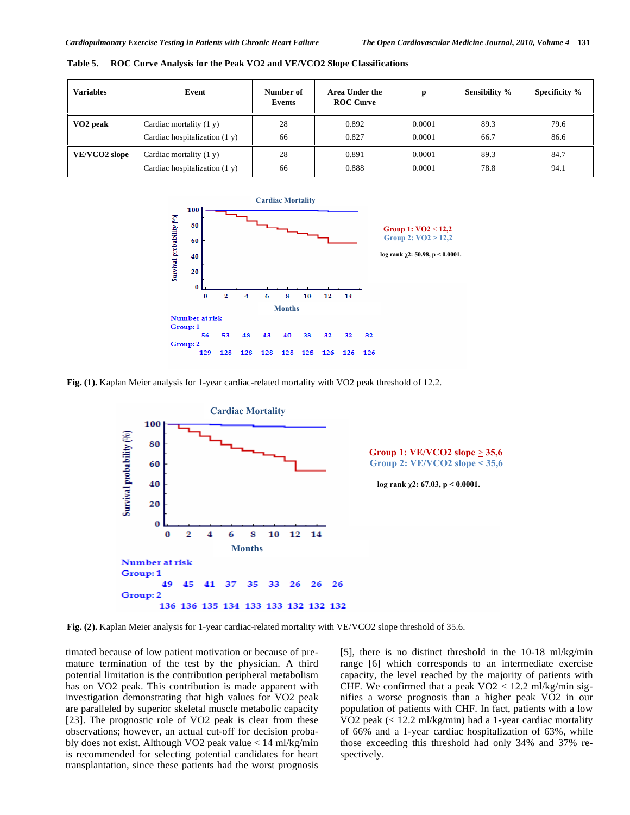| <b>Variables</b>     | Event                           | Number of<br>Events | <b>Area Under the</b><br><b>ROC Curve</b> | p      | <b>Sensibility %</b> | Specificity % |
|----------------------|---------------------------------|---------------------|-------------------------------------------|--------|----------------------|---------------|
| VO <sub>2</sub> peak | Cardiac mortality $(1 y)$       | 28                  | 0.892                                     | 0.0001 | 89.3                 | 79.6          |
|                      | Cardiac hospitalization $(1 y)$ | 66                  | 0.827                                     | 0.0001 | 66.7                 | 86.6          |
| VE/VCO2 slope        | Cardiac mortality $(1 y)$       | 28                  | 0.891                                     | 0.0001 | 89.3                 | 84.7          |
|                      | Cardiac hospitalization $(1 y)$ | 66                  | 0.888                                     | 0.0001 | 78.8                 | 94.1          |

**Table 5. ROC Curve Analysis for the Peak VO2 and VE/VCO2 Slope Classifications** 



**Fig. (1).** Kaplan Meier analysis for 1-year cardiac-related mortality with VO2 peak threshold of 12.2.



**Fig. (2).** Kaplan Meier analysis for 1-year cardiac-related mortality with VE/VCO2 slope threshold of 35.6.

timated because of low patient motivation or because of premature termination of the test by the physician. A third potential limitation is the contribution peripheral metabolism has on VO2 peak. This contribution is made apparent with investigation demonstrating that high values for VO2 peak are paralleled by superior skeletal muscle metabolic capacity [23]. The prognostic role of VO2 peak is clear from these observations; however, an actual cut-off for decision probably does not exist. Although VO2 peak value < 14 ml/kg/min is recommended for selecting potential candidates for heart transplantation, since these patients had the worst prognosis [5], there is no distinct threshold in the 10-18 ml/kg/min range [6] which corresponds to an intermediate exercise capacity, the level reached by the majority of patients with CHF. We confirmed that a peak  $VO2 < 12.2$  ml/kg/min signifies a worse prognosis than a higher peak VO2 in our population of patients with CHF. In fact, patients with a low VO2 peak (< 12.2 ml/kg/min) had a 1-year cardiac mortality of 66% and a 1-year cardiac hospitalization of 63%, while those exceeding this threshold had only 34% and 37% respectively.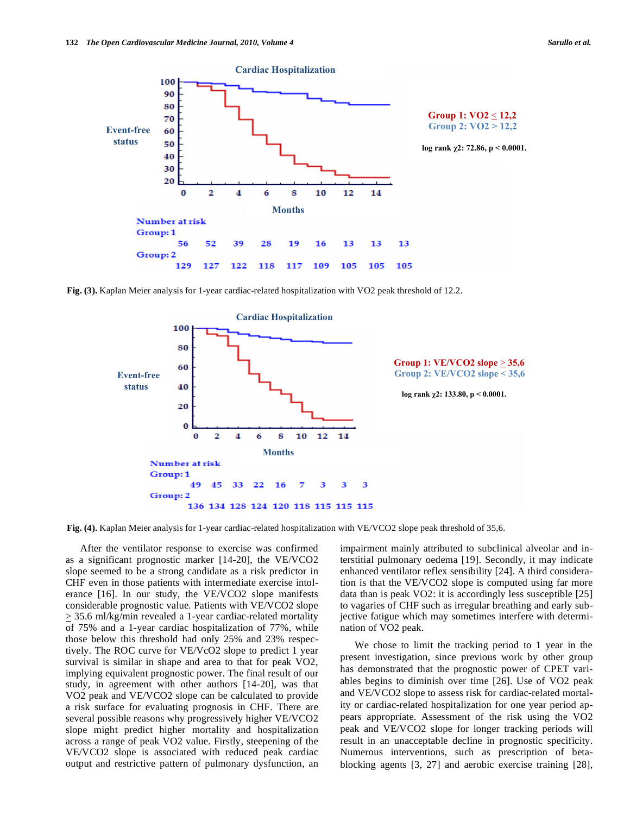

**Fig. (3).** Kaplan Meier analysis for 1-year cardiac-related hospitalization with VO2 peak threshold of 12.2.



**Fig. (4).** Kaplan Meier analysis for 1-year cardiac-related hospitalization with VE/VCO2 slope peak threshold of 35,6.

 After the ventilator response to exercise was confirmed as a significant prognostic marker [14-20], the VE/VCO2 slope seemed to be a strong candidate as a risk predictor in CHF even in those patients with intermediate exercise intolerance [16]. In our study, the VE/VCO2 slope manifests considerable prognostic value. Patients with VE/VCO2 slope  $\geq$  35.6 ml/kg/min revealed a 1-year cardiac-related mortality of 75% and a 1-year cardiac hospitalization of 77%, while those below this threshold had only 25% and 23% respectively. The ROC curve for VE/VcO2 slope to predict 1 year survival is similar in shape and area to that for peak VO2, implying equivalent prognostic power. The final result of our study, in agreement with other authors [14-20], was that VO2 peak and VE/VCO2 slope can be calculated to provide a risk surface for evaluating prognosis in CHF. There are several possible reasons why progressively higher VE/VCO2 slope might predict higher mortality and hospitalization across a range of peak VO2 value. Firstly, steepening of the VE/VCO2 slope is associated with reduced peak cardiac output and restrictive pattern of pulmonary dysfunction, an impairment mainly attributed to subclinical alveolar and interstitial pulmonary oedema [19]. Secondly, it may indicate enhanced ventilator reflex sensibility [24]. A third consideration is that the VE/VCO2 slope is computed using far more data than is peak VO2: it is accordingly less susceptible [25] to vagaries of CHF such as irregular breathing and early subjective fatigue which may sometimes interfere with determination of VO2 peak.

 We chose to limit the tracking period to 1 year in the present investigation, since previous work by other group has demonstrated that the prognostic power of CPET variables begins to diminish over time [26]. Use of VO2 peak and VE/VCO2 slope to assess risk for cardiac-related mortality or cardiac-related hospitalization for one year period appears appropriate. Assessment of the risk using the VO2 peak and VE/VCO2 slope for longer tracking periods will result in an unacceptable decline in prognostic specificity. Numerous interventions, such as prescription of betablocking agents [3, 27] and aerobic exercise training [28],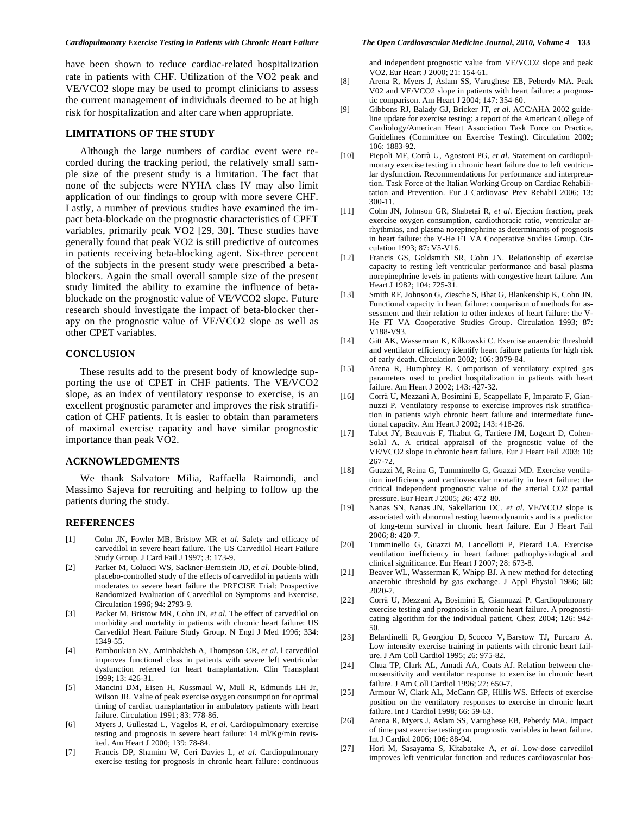have been shown to reduce cardiac-related hospitalization rate in patients with CHF. Utilization of the VO2 peak and VE/VCO2 slope may be used to prompt clinicians to assess the current management of individuals deemed to be at high risk for hospitalization and alter care when appropriate.

#### **LIMITATIONS OF THE STUDY**

 Although the large numbers of cardiac event were recorded during the tracking period, the relatively small sample size of the present study is a limitation. The fact that none of the subjects were NYHA class IV may also limit application of our findings to group with more severe CHF. Lastly, a number of previous studies have examined the impact beta-blockade on the prognostic characteristics of CPET variables, primarily peak VO2 [29, 30]. These studies have generally found that peak VO2 is still predictive of outcomes in patients receiving beta-blocking agent. Six-three percent of the subjects in the present study were prescribed a betablockers. Again the small overall sample size of the present study limited the ability to examine the influence of betablockade on the prognostic value of VE/VCO2 slope. Future research should investigate the impact of beta-blocker therapy on the prognostic value of VE/VCO2 slope as well as other CPET variables.

## **CONCLUSION**

 These results add to the present body of knowledge supporting the use of CPET in CHF patients. The VE/VCO2 slope, as an index of ventilatory response to exercise, is an excellent prognostic parameter and improves the risk stratification of CHF patients. It is easier to obtain than parameters of maximal exercise capacity and have similar prognostic importance than peak VO2.

#### **ACKNOWLEDGMENTS**

 We thank Salvatore Milia, Raffaella Raimondi, and Massimo Sajeva for recruiting and helping to follow up the patients during the study.

#### **REFERENCES**

- [1] Cohn JN, Fowler MB, Bristow MR *et al*. Safety and efficacy of carvedilol in severe heart failure. The US Carvedilol Heart Failure Study Group. J Card Fail J 1997; 3: 173-9.
- [2] Parker M, Colucci WS, Sackner-Bernstein JD, *et al*. Double-blind, placebo-controlled study of the effects of carvedilol in patients with moderates to severe heart failure the PRECISE Trial: Prospective Randomized Evaluation of Carvedilol on Symptoms and Exercise. Circulation 1996; 94: 2793-9.
- [3] Packer M, Bristow MR, Cohn JN, *et al*. The effect of carvedilol on morbidity and mortality in patients with chronic heart failure: US Carvedilol Heart Failure Study Group. N Engl J Med 1996; 334: 1349-55.
- [4] Pamboukian SV, Aminbakhsh A, Thompson CR, *et al*. l carvedilol improves functional class in patients with severe left ventricular dysfunction referred for heart transplantation. Clin Transplant 1999; 13: 426-31.
- [5] Mancini DM, Eisen H, Kussmaul W, Mull R, Edmunds LH Jr, Wilson JR. Value of peak exercise oxygen consumption for optimal timing of cardiac transplantation in ambulatory patients with heart failure. Circulation 1991; 83: 778-86.
- [6] Myers J, Gullestad L, Vagelos R, *et al*. Cardiopulmonary exercise testing and prognosis in severe heart failure: 14 ml/Kg/min revisited. Am Heart J 2000; 139: 78-84.
- [7] Francis DP, Shamim W, Ceri Davies L, *et al*. Cardiopulmonary exercise testing for prognosis in chronic heart failure: continuous

and independent prognostic value from VE/VCO2 slope and peak VO2. Eur Heart J 2000; 21: 154-61.

- [8] Arena R, Myers J, Aslam SS, Varughese EB, Peberdy MA. Peak V02 and VE/VCO2 slope in patients with heart failure: a prognostic comparison. Am Heart J 2004; 147: 354-60.
- [9] Gibbons RJ, Balady GJ, Bricker JT, *et al*. ACC/AHA 2002 guideline update for exercise testing: a report of the American College of Cardiology/American Heart Association Task Force on Practice. Guidelines (Committee on Exercise Testing). Circulation 2002; 106: 1883-92.
- [10] Piepoli MF, Corrà U, Agostoni PG, *et al*. Statement on cardiopulmonary exercise testing in chronic heart failure due to left ventricular dysfunction. Recommendations for performance and interpretation. Task Force of the Italian Working Group on Cardiac Rehabilitation and Prevention. Eur J Cardiovasc Prev Rehabil 2006; 13: 300-11.
- [11] Cohn JN, Johnson GR, Shabetai R, *et al*. Ejection fraction, peak exercise oxygen consumption, cardiothoracic ratio, ventricular arrhythmias, and plasma norepinephrine as determinants of prognosis in heart failure: the V-He FT VA Cooperative Studies Group. Circulation 1993; 87: V5-V16.
- [12] Francis GS, Goldsmith SR, Cohn JN. Relationship of exercise capacity to resting left ventricular performance and basal plasma norepinephrine levels in patients with congestive heart failure. Am Heart J 1982; 104: 725-31.
- [13] Smith RF, Johnson G, Ziesche S, Bhat G, Blankenship K, Cohn JN. Functional capacity in heart failure: comparison of methods for assessment and their relation to other indexes of heart failure: the V-He FT VA Cooperative Studies Group. Circulation 1993; 87: V188-V93.
- [14] Gitt AK, Wasserman K, Kilkowski C. Exercise anaerobic threshold and ventilator efficiency identify heart failure patients for high risk of early death. Circulation 2002; 106: 3079-84.
- [15] Arena R, Humphrey R. Comparison of ventilatory expired gas parameters used to predict hospitalization in patients with heart failure. Am Heart J 2002; 143: 427-32.
- [16] Corrà U, Mezzani A, Bosimini E, Scappellato F, Imparato F, Giannuzzi P. Ventilatory response to exercise improves risk stratification in patients wiyh chronic heart failure and intermediate functional capacity. Am Heart J 2002; 143: 418-26.
- [17] Tabet JY, Beauvais F, Thabut G, Tartiere JM, Logeart D, Cohen-Solal A. A critical appraisal of the prognostic value of the VE/VCO2 slope in chronic heart failure. Eur J Heart Fail 2003; 10: 267-72.
- [18] Guazzi M, Reina G, Tumminello G, Guazzi MD. Exercise ventilation inefficiency and cardiovascular mortality in heart failure: the critical independent prognostic value of the arterial CO2 partial pressure. Eur Heart J 2005; 26: 472–80.
- [19] Nanas SN, Nanas JN, Sakellariou DC, *et al*. VE/VCO2 slope is associated with abnormal resting haemodynamics and is a predictor of long-term survival in chronic heart failure. Eur J Heart Fail  $2006: 8: 420-7$
- [20] Tumminello G, Guazzi M, Lancellotti P, Pierard LA. Exercise ventilation inefficiency in heart failure: pathophysiological and clinical significance. Eur Heart J 2007; 28: 673-8.
- [21] Beaver WL, Wasserman K, Whipp BJ. A new method for detecting anaerobic threshold by gas exchange. J Appl Physiol 1986; 60: 2020-7.
- [22] Corrà U, Mezzani A, Bosimini E, Giannuzzi P. Cardiopulmonary exercise testing and prognosis in chronic heart failure. A prognosticating algorithm for the individual patient. Chest 2004; 126: 942- 50.
- [23] Belardinelli R, Georgiou D, Scocco V, Barstow TJ, Purcaro A. Low intensity exercise training in patients with chronic heart failure. J Am Coll Cardiol 1995; 26: 975-82.
- [24] Chua TP, Clark AL, Amadi AA, Coats AJ. Relation between chemosensitivity and ventilator response to exercise in chronic heart failure. J Am Coll Cardiol 1996; 27: 650-7.
- [25] Armour W, Clark AL, McCann GP, Hillis WS. Effects of exercise position on the ventilatory responses to exercise in chronic heart failure. Int J Cardiol 1998; 66: 59-63.
- [26] Arena R, Myers J, Aslam SS, Varughese EB, Peberdy MA. Impact of time past exercise testing on prognostic variables in heart failure. Int J Cardiol 2006; 106: 88-94.
- [27] Hori M, Sasayama S, Kitabatake A, *et al*. Low-dose carvedilol improves left ventricular function and reduces cardiovascular hos-